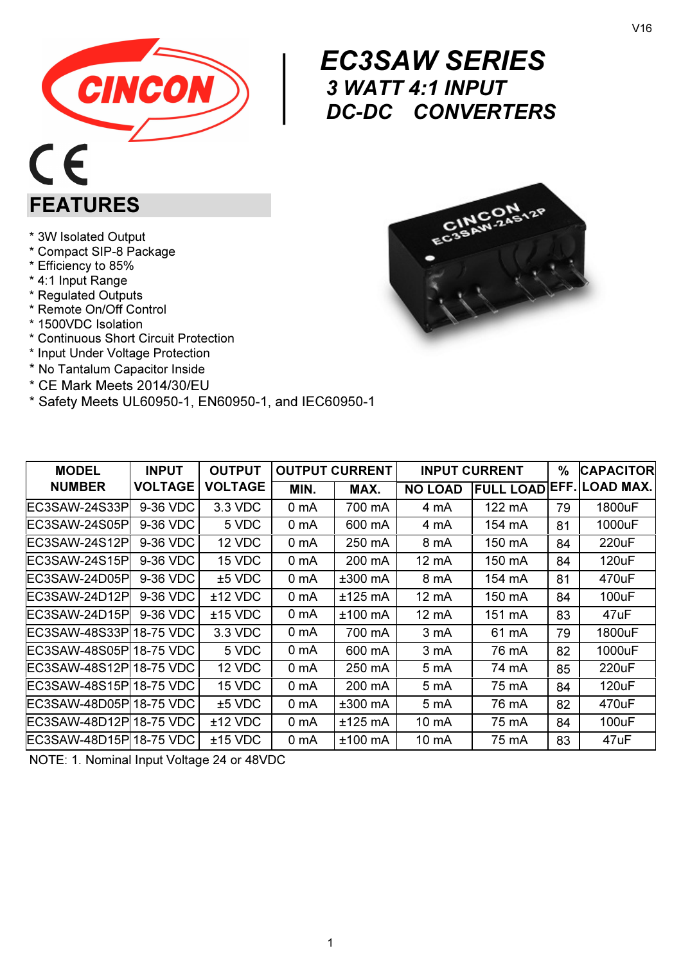



## $\begin{array}{c} \begin{array}{c} E^{(1)} \\ 3 \\ D^{(2)} \end{array} \end{array}$  EC3SAW SERIES 3 WATT 4:1 INPUT DC-DC CONVERTERS

\* 3W Isolated Output

FEATURES

- \* Compact SIP-8 Package
- \* Efficiency to 85%
- \* 4:1 Input Range
- \* Regulated Outputs
- \* Remote On/Off Control
- \* 1500VDC Isolation
- \* Continuous Short Circuit Protection
- \* Input Under Voltage Protection
- \* No Tantalum Capacitor Inside
- \* CE Mark Meets 2014/30/EU
- \* Safety Meets UL60950-1, EN60950-1, and IEC60950-1



| <b>MODEL</b>            | <b>INPUT</b>   | <b>OUTPUT</b>  |                  | <b>OUTPUT CURRENT</b> |                   | <b>INPUT CURRENT</b> | $\%$ | <b>CAPACITOR</b>                |
|-------------------------|----------------|----------------|------------------|-----------------------|-------------------|----------------------|------|---------------------------------|
| <b>NUMBER</b>           | <b>VOLTAGE</b> | <b>VOLTAGE</b> | MIN.             | MAX.                  | <b>NO LOAD</b>    |                      |      | <b>FULL LOAD EFF. LOAD MAX.</b> |
| EC3SAW-24S33P           | 9-36 VDC       | 3.3 VDC        | 0 mA             | 700 mA                | 4 mA              | 122 mA               | 79   | 1800uF                          |
| EC3SAW-24S05P           | 9-36 VDC       | 5 VDC          | 0 <sub>m</sub> A | 600 mA                | 4 mA              | 154 mA               | 81   | 1000uF                          |
| EC3SAW-24S12Pl          | 9-36 VDC       | 12 VDC         | 0 mA             | 250 mA                | 8 mA              | 150 mA               | 84   | 220uF                           |
| EC3SAW-24S15Pl          | 9-36 VDC       | 15 VDC         | 0 <sub>m</sub> A | 200 mA                | 12 mA             | 150 mA               | 84   | 120uF                           |
| EC3SAW-24D05Pl          | 9-36 VDC       | $±5$ VDC       | 0 mA             | $±300$ mA             | 8 mA              | 154 mA               | 81   | 470uF                           |
| EC3SAW-24D12Pl          | 9-36 VDC       | $±12$ VDC      | 0 mA             | $±125$ mA             | 12 mA             | 150 mA               | 84   | 100uF                           |
| EC3SAW-24D15Pl          | 9-36 VDC       | $±15$ VDC      | 0 mA             | $±100$ mA             | 12 mA             | 151 mA               | 83   | 47uF                            |
| EC3SAW-48S33PI18-75 VDC |                | 3.3 VDC        | 0 mA             | 700 mA                | 3 mA              | 61 mA                | 79   | 1800uF                          |
| EC3SAW-48S05Pl18-75 VDC |                | 5 VDC          | 0 mA             | 600 mA                | 3 mA              | 76 mA                | 82   | 1000uF                          |
| EC3SAW-48S12Pl18-75 VDC |                | 12 VDC         | 0 mA             | 250 mA                | 5 mA              | 74 mA                | 85   | 220uF                           |
| EC3SAW-48S15PI18-75 VDC |                | 15 VDC         | 0 mA             | 200 mA                | 5 mA              | 75 mA                | 84   | 120uF                           |
| EC3SAW-48D05PI18-75 VDC |                | $±5$ VDC       | 0 mA             | $±300$ mA             | 5 mA              | 76 mA                | 82   | 470uF                           |
| EC3SAW-48D12Pl18-75 VDC |                | $±12$ VDC      | 0 mA             | $±125$ mA             | 10 <sub>m</sub> A | 75 mA                | 84   | 100uF                           |
| EC3SAW-48D15Pl18-75 VDC |                | $±15$ VDC      | 0 mA             | $±100$ mA             | $10 \text{ mA}$   | 75 mA                | 83   | 47uF                            |

NOTE: 1. Nominal Input Voltage 24 or 48VDC